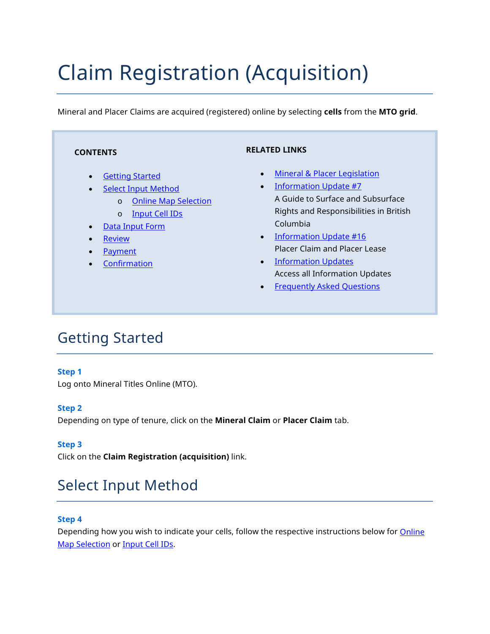# Claim Registration (Acquisition)

Mineral and Placer Claims are acquired (registered) online by selecting **cells** from the **MTO grid**.

| <b>CONTENTS</b>                                                                                                                                                                                                                                                                        | <b>RELATED LINKS</b>                                                                                                                                                                                                                                                                                                                                                                                                     |
|----------------------------------------------------------------------------------------------------------------------------------------------------------------------------------------------------------------------------------------------------------------------------------------|--------------------------------------------------------------------------------------------------------------------------------------------------------------------------------------------------------------------------------------------------------------------------------------------------------------------------------------------------------------------------------------------------------------------------|
| <b>Getting Started</b><br>$\bullet$<br><b>Select Input Method</b><br>$\bullet$<br><b>Online Map Selection</b><br>$\circ$<br><b>Input Cell IDs</b><br>$\circ$<br><b>Data Input Form</b><br>$\bullet$<br><b>Review</b><br>$\bullet$<br>Payment<br>$\bullet$<br>Confirmation<br>$\bullet$ | <b>Mineral &amp; Placer Legislation</b><br>$\bullet$<br><b>Information Update #7</b><br>$\bullet$<br>A Guide to Surface and Subsurface<br>Rights and Responsibilities in British<br>Columbia<br><b>Information Update #16</b><br>$\bullet$<br><b>Placer Claim and Placer Lease</b><br><b>Information Updates</b><br>$\bullet$<br><b>Access all Information Updates</b><br><b>Frequently Asked Questions</b><br>$\bullet$ |

# <span id="page-0-0"></span>Getting Started

### **Step 1**

Log onto Mineral Titles Online (MTO).

### **Step 2**

Depending on type of tenure, click on the **Mineral Claim** or **Placer Claim** tab.

### **Step 3**

Click on the **Claim Registration (acquisition)** link.

# <span id="page-0-1"></span>Select Input Method

### **Step 4**

Depending how you wish to indicate your cells, follow the respective instructions below for Online [Map Selection](#page-1-0) or [Input Cell IDs.](#page-3-0)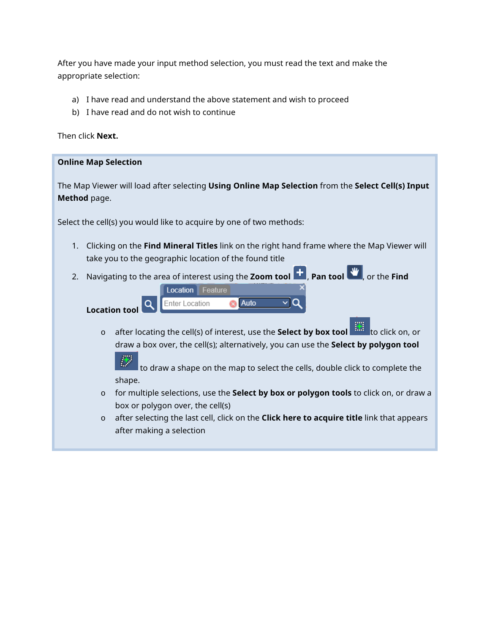After you have made your input method selection, you must read the text and make the appropriate selection:

- a) I have read and understand the above statement and wish to proceed
- b) I have read and do not wish to continue

Then click **Next.**

### <span id="page-1-0"></span>**Online Map Selection**

The Map Viewer will load after selecting **Using Online Map Selection** from the **Select Cell(s) Input Method** page.

Select the cell(s) you would like to acquire by one of two methods:

Location Feature

**Enter Location** 

1. Clicking on the **Find Mineral Titles** link on the right hand frame where the Map Viewer will take you to the geographic location of the found title

Auto

2. Navigating to the area of interest using the **Zoom tool**  $\begin{bmatrix} 1 \\ 1 \end{bmatrix}$ **, Pan tool**  $\begin{bmatrix} 1 \\ 1 \end{bmatrix}$ **, or the <b>Find** 

 $\alpha$ **Location tool** 

> o after locating the cell(s) of interest, use the **Select by box tool** that to click on, or draw a box over, the cell(s); alternatively, you can use the **Select by polygon tool**

Θ  $\vert$  to draw a shape on the map to select the cells, double click to complete the shape.

- o for multiple selections, use the **Select by box or polygon tools** to click on, or draw a box or polygon over, the cell(s)
- o after selecting the last cell, click on the **Click here to acquire title** link that appears after making a selection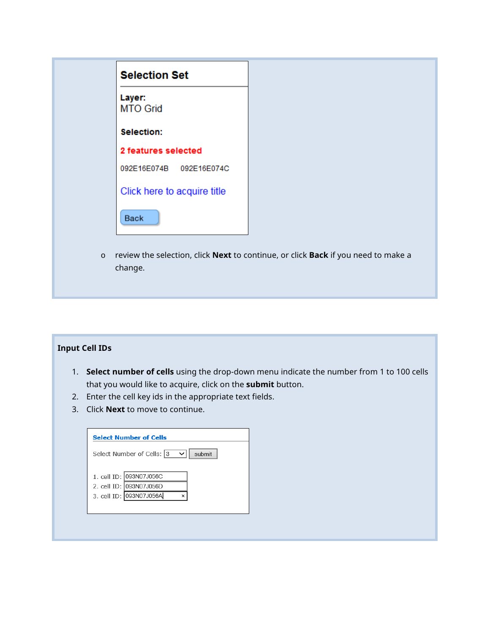|         | <b>Selection Set</b>                                                              |
|---------|-----------------------------------------------------------------------------------|
|         | Layer:<br><b>MTO Grid</b>                                                         |
|         | Selection:                                                                        |
|         | 2 features selected                                                               |
|         | 092E16E074B 092E16E074C                                                           |
|         | Click here to acquire title                                                       |
|         | <b>Back</b>                                                                       |
| $\circ$ | review the selection, click Next to continue, or click Back if you need to make a |
|         | change.                                                                           |

### <span id="page-2-0"></span>**Input Cell IDs**

- 1. **Select number of cells** using the drop-down menu indicate the number from 1 to 100 cells that you would like to acquire, click on the **submit** button.
- 2. Enter the cell key ids in the appropriate text fields.
- 3. Click **Next** to move to continue.

| Select Number of Cells: 3<br>$\checkmark$        | submit |
|--------------------------------------------------|--------|
| 1. cell ID: 093N07J056C                          |        |
| 2. cell ID: 093N07J056D                          |        |
| 3. cell ID: 093N07J056A<br>$\boldsymbol{\times}$ |        |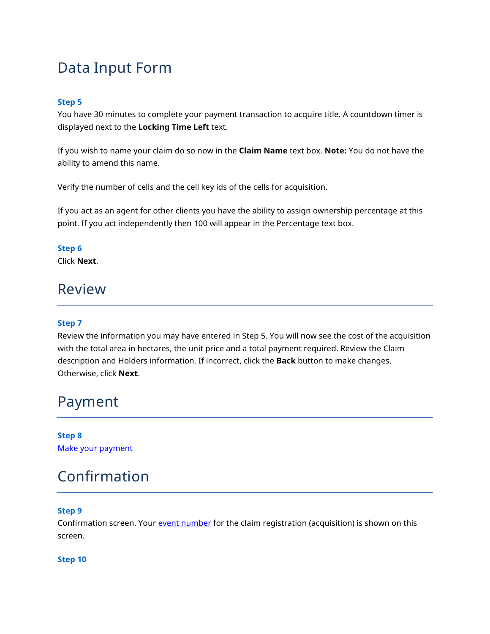## <span id="page-3-0"></span>Data Input Form

#### **Step 5**

You have 30 minutes to complete your payment transaction to acquire title. A countdown timer is displayed next to the **Locking Time Left** text.

If you wish to name your claim do so now in the **Claim Name** text box. **Note:** You do not have the ability to amend this name.

Verify the number of cells and the cell key ids of the cells for acquisition.

If you act as an agent for other clients you have the ability to assign ownership percentage at this point. If you act independently then 100 will appear in the Percentage text box.

#### **Step 6**

Click **Next**.

### <span id="page-3-1"></span>Review

### **Step 7**

Review the information you may have entered in Step 5. You will now see the cost of the acquisition with the total area in hectares, the unit price and a total payment required. Review the Claim description and Holders information. If incorrect, click the **Back** button to make changes. Otherwise, click **Next**.

### <span id="page-3-2"></span>Payment

**Step 8** [Make your payment](http://www2.gov.bc.ca/assets/gov/farming-natural-resources-and-industry/mineral-exploration-mining/documents/mineral-titles/mto/mto-help-guide/main/pymt_howto.pdf)

### <span id="page-3-3"></span>Confirmation

### **Step 9**

Confirmation screen. Your [event number](http://www2.gov.bc.ca/gov/content/industry/mineral-exploration-mining/mineral-titles/mto-help-guide/mtohelp-by-topic#E) for the claim registration (acquisition) is shown on this screen.

#### **Step 10**